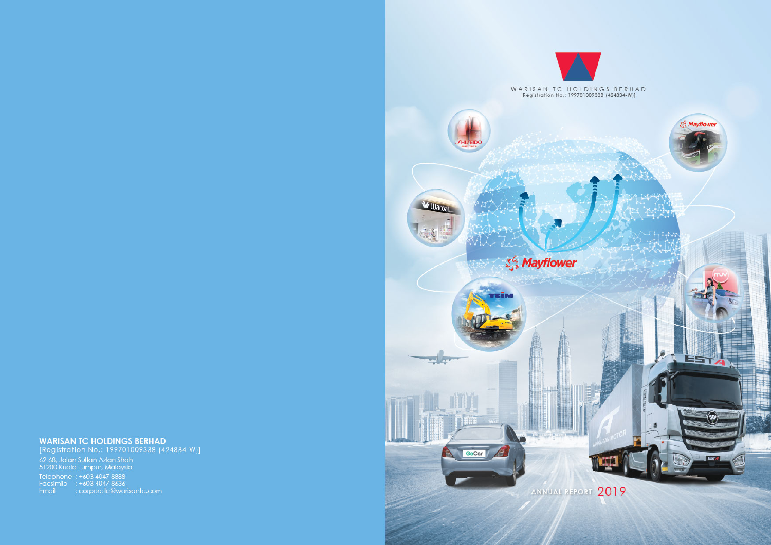

**WARISAN TC HOLDINGS BERHAD**<br>[Registration No.: 199701009338 (424834-W)] -<br>62-68, Jalan Sultan Azlan Shah<br>51200 Kuala Lumpur, Malaysia Telephone : +603 4047 8888<br>
Facsimile : +603 4047 8636<br>
Email : corporate@warisantc.com

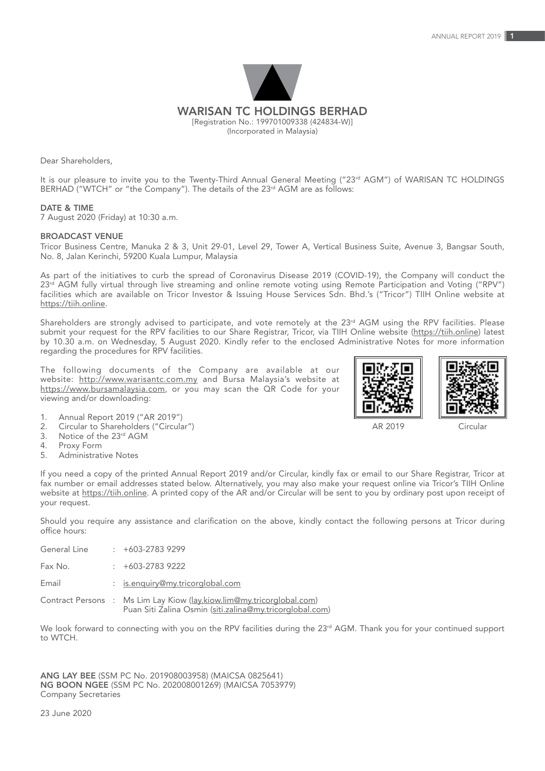

Dear Shareholders,

It is our pleasure to invite you to the Twenty-Third Annual General Meeting ("23<sup>rd</sup> AGM") of WARISAN TC HOLDINGS BERHAD ("WTCH" or "the Company"). The details of the 23<sup>rd</sup> AGM are as follows:

#### DATE & TIME

7 August 2020 (Friday) at 10:30 a.m.

### BROADCAST VENUE

Tricor Business Centre, Manuka 2 & 3, Unit 29-01, Level 29, Tower A, Vertical Business Suite, Avenue 3, Bangsar South, No. 8, Jalan Kerinchi, 59200 Kuala Lumpur, Malaysia

As part of the initiatives to curb the spread of Coronavirus Disease 2019 (COVID-19), the Company will conduct the 23rd AGM fully virtual through live streaming and online remote voting using Remote Participation and Voting ("RPV") facilities which are available on Tricor Investor & Issuing House Services Sdn. Bhd.'s ("Tricor") TIIH Online website at https://tiih.online.

Shareholders are strongly advised to participate, and vote remotely at the 23<sup>rd</sup> AGM using the RPV facilities. Please submit your request for the RPV facilities to our Share Registrar, Tricor, via TIIH Online website (https://tiih.online) latest by 10.30 a.m. on Wednesday, 5 August 2020. Kindly refer to the enclosed Administrative Notes for more information regarding the procedures for RPV facilities.

The following documents of the Company are available at our website: http://www.warisantc.com.my and Bursa Malaysia's website at https://www.bursamalaysia.com, or you may scan the QR Code for your viewing and/or downloading:





AR 2019 Circular

- 1. Annual Report 2019 ("AR 2019")<br>2. Circular to Shareholders ("Circula
- 2. Circular to Shareholders ("Circular")<br>3. Notice of the 23rd AGM 3. Notice of the  $23<sup>rd</sup>$  AGM<br>4. Proxy Form
- 
- 4. Proxy Form<br>5 Administrati Administrative Notes

If you need a copy of the printed Annual Report 2019 and/or Circular, kindly fax or email to our Share Registrar, Tricor at fax number or email addresses stated below. Alternatively, you may also make your request online via Tricor's TIIH Online website at https://tiih.online. A printed copy of the AR and/or Circular will be sent to you by ordinary post upon receipt of your request.

Should you require any assistance and clarification on the above, kindly contact the following persons at Tricor during office hours:

| General Line | $+603-27839299$                                                                                                                   |
|--------------|-----------------------------------------------------------------------------------------------------------------------------------|
| Fax No.      | $\div$ +603-2783 9222                                                                                                             |
| Email        | : is.enquiry@my.tricorglobal.com                                                                                                  |
|              | Contract Persons : Ms Lim Lay Kiow (lay.kiow.lim@my.tricorglobal.com)<br>Puan Siti Zalina Osmin (siti.zalina@my.tricorglobal.com) |

We look forward to connecting with you on the RPV facilities during the 23<sup>rd</sup> AGM. Thank you for your continued support to WTCH.

ANG LAY BEE (SSM PC No. 201908003958) (MAICSA 0825641) NG BOON NGEE (SSM PC No. 202008001269) (MAICSA 7053979) Company Secretaries

23 June 2020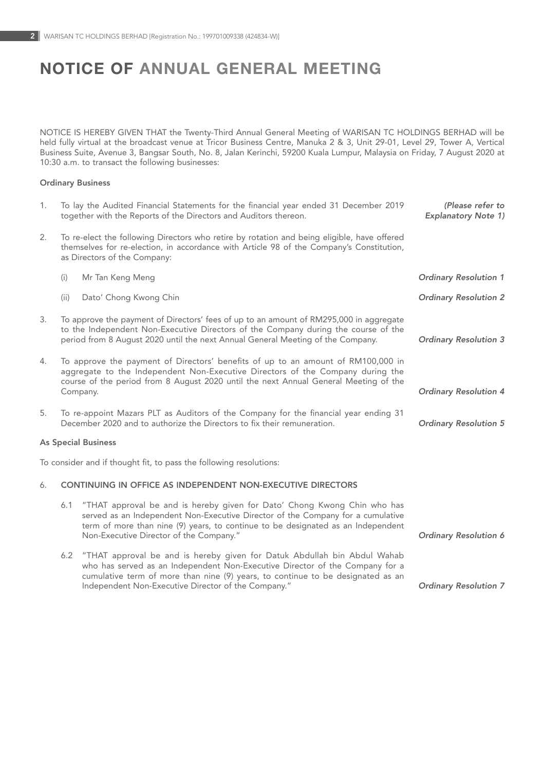# NOTICE OF ANNUAL GENERAL MEETING

NOTICE IS HEREBY GIVEN THAT the Twenty-Third Annual General Meeting of WARISAN TC HOLDINGS BERHAD will be held fully virtual at the broadcast venue at Tricor Business Centre, Manuka 2 & 3, Unit 29-01, Level 29, Tower A, Vertical Business Suite, Avenue 3, Bangsar South, No. 8, Jalan Kerinchi, 59200 Kuala Lumpur, Malaysia on Friday, 7 August 2020 at 10:30 a.m. to transact the following businesses:

## Ordinary Business

| 1. |       | To lay the Audited Financial Statements for the financial year ended 31 December 2019<br>together with the Reports of the Directors and Auditors thereon.                                                                                                                                          | (Please refer to<br><b>Explanatory Note 1)</b> |
|----|-------|----------------------------------------------------------------------------------------------------------------------------------------------------------------------------------------------------------------------------------------------------------------------------------------------------|------------------------------------------------|
| 2. |       | To re-elect the following Directors who retire by rotation and being eligible, have offered<br>themselves for re-election, in accordance with Article 98 of the Company's Constitution,<br>as Directors of the Company:                                                                            |                                                |
|    | (i)   | Mr Tan Keng Meng                                                                                                                                                                                                                                                                                   | <b>Ordinary Resolution 1</b>                   |
|    | (iii) | Dato' Chong Kwong Chin                                                                                                                                                                                                                                                                             | <b>Ordinary Resolution 2</b>                   |
| 3. |       | To approve the payment of Directors' fees of up to an amount of RM295,000 in aggregate<br>to the Independent Non-Executive Directors of the Company during the course of the<br>period from 8 August 2020 until the next Annual General Meeting of the Company.                                    | <b>Ordinary Resolution 3</b>                   |
| 4. |       | To approve the payment of Directors' benefits of up to an amount of RM100,000 in<br>aggregate to the Independent Non-Executive Directors of the Company during the<br>course of the period from 8 August 2020 until the next Annual General Meeting of the<br>Company.                             | <b>Ordinary Resolution 4</b>                   |
| 5. |       | To re-appoint Mazars PLT as Auditors of the Company for the financial year ending 31<br>December 2020 and to authorize the Directors to fix their remuneration.                                                                                                                                    | <b>Ordinary Resolution 5</b>                   |
|    |       | <b>As Special Business</b>                                                                                                                                                                                                                                                                         |                                                |
|    |       | To consider and if thought fit, to pass the following resolutions:                                                                                                                                                                                                                                 |                                                |
| 6. |       | CONTINUING IN OFFICE AS INDEPENDENT NON-EXECUTIVE DIRECTORS                                                                                                                                                                                                                                        |                                                |
|    | 6.1   | "THAT approval be and is hereby given for Dato' Chong Kwong Chin who has<br>served as an Independent Non-Executive Director of the Company for a cumulative<br>term of more than nine (9) years, to continue to be designated as an Independent<br>Non-Executive Director of the Company."         | Ordinary Resolution 6                          |
|    | 6.2   | "THAT approval be and is hereby given for Datuk Abdullah bin Abdul Wahab<br>who has served as an Independent Non-Executive Director of the Company for a<br>cumulative term of more than nine (9) years, to continue to be designated as an<br>Independent Non-Executive Director of the Company." | <b>Ordinary Resolution 7</b>                   |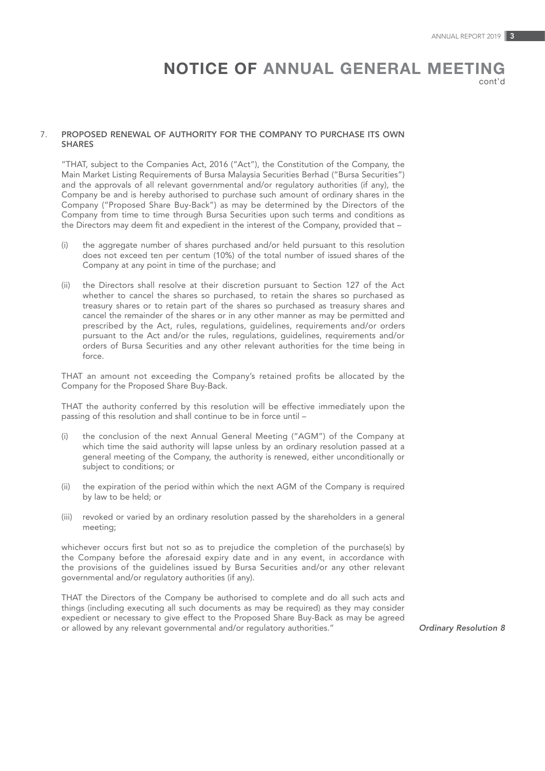# NOTICE OF ANNUAL GENERAL MEETING

cont'd

#### 7. PROPOSED RENEWAL OF AUTHORITY FOR THE COMPANY TO PURCHASE ITS OWN SHARES

"THAT, subject to the Companies Act, 2016 ("Act"), the Constitution of the Company, the Main Market Listing Requirements of Bursa Malaysia Securities Berhad ("Bursa Securities") and the approvals of all relevant governmental and/or regulatory authorities (if any), the Company be and is hereby authorised to purchase such amount of ordinary shares in the Company ("Proposed Share Buy-Back") as may be determined by the Directors of the Company from time to time through Bursa Securities upon such terms and conditions as the Directors may deem fit and expedient in the interest of the Company, provided that –

- (i) the aggregate number of shares purchased and/or held pursuant to this resolution does not exceed ten per centum (10%) of the total number of issued shares of the Company at any point in time of the purchase; and
- (ii) the Directors shall resolve at their discretion pursuant to Section 127 of the Act whether to cancel the shares so purchased, to retain the shares so purchased as treasury shares or to retain part of the shares so purchased as treasury shares and cancel the remainder of the shares or in any other manner as may be permitted and prescribed by the Act, rules, regulations, guidelines, requirements and/or orders pursuant to the Act and/or the rules, regulations, guidelines, requirements and/or orders of Bursa Securities and any other relevant authorities for the time being in force.

THAT an amount not exceeding the Company's retained profits be allocated by the Company for the Proposed Share Buy-Back.

THAT the authority conferred by this resolution will be effective immediately upon the passing of this resolution and shall continue to be in force until –

- (i) the conclusion of the next Annual General Meeting ("AGM") of the Company at which time the said authority will lapse unless by an ordinary resolution passed at a general meeting of the Company, the authority is renewed, either unconditionally or subject to conditions; or
- (ii) the expiration of the period within which the next AGM of the Company is required by law to be held; or
- (iii) revoked or varied by an ordinary resolution passed by the shareholders in a general meeting;

whichever occurs first but not so as to prejudice the completion of the purchase(s) by the Company before the aforesaid expiry date and in any event, in accordance with the provisions of the guidelines issued by Bursa Securities and/or any other relevant governmental and/or regulatory authorities (if any).

THAT the Directors of the Company be authorised to complete and do all such acts and things (including executing all such documents as may be required) as they may consider expedient or necessary to give effect to the Proposed Share Buy-Back as may be agreed or allowed by any relevant governmental and/or regulatory authorities." *Ordinary Resolution 8*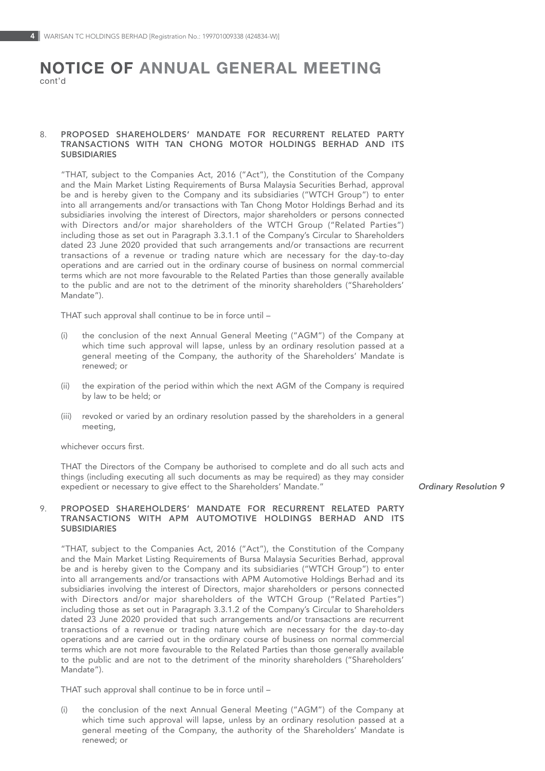# NOTICE OF ANNUAL GENERAL MEETING cont'd

### 8. PROPOSED SHAREHOLDERS' MANDATE FOR RECURRENT RELATED PARTY TRANSACTIONS WITH TAN CHONG MOTOR HOLDINGS BERHAD AND ITS SUBSIDIARIES

"THAT, subject to the Companies Act, 2016 ("Act"), the Constitution of the Company and the Main Market Listing Requirements of Bursa Malaysia Securities Berhad, approval be and is hereby given to the Company and its subsidiaries ("WTCH Group") to enter into all arrangements and/or transactions with Tan Chong Motor Holdings Berhad and its subsidiaries involving the interest of Directors, major shareholders or persons connected with Directors and/or major shareholders of the WTCH Group ("Related Parties") including those as set out in Paragraph 3.3.1.1 of the Company's Circular to Shareholders dated 23 June 2020 provided that such arrangements and/or transactions are recurrent transactions of a revenue or trading nature which are necessary for the day-to-day operations and are carried out in the ordinary course of business on normal commercial terms which are not more favourable to the Related Parties than those generally available to the public and are not to the detriment of the minority shareholders ("Shareholders' Mandate").

THAT such approval shall continue to be in force until –

- (i) the conclusion of the next Annual General Meeting ("AGM") of the Company at which time such approval will lapse, unless by an ordinary resolution passed at a general meeting of the Company, the authority of the Shareholders' Mandate is renewed; or
- (ii) the expiration of the period within which the next AGM of the Company is required by law to be held; or
- (iii) revoked or varied by an ordinary resolution passed by the shareholders in a general meeting,

whichever occurs first.

THAT the Directors of the Company be authorised to complete and do all such acts and things (including executing all such documents as may be required) as they may consider expedient or necessary to give effect to the Shareholders' Mandate." *Ordinary Resolution 9*

#### 9. PROPOSED SHAREHOLDERS' MANDATE FOR RECURRENT RELATED PARTY TRANSACTIONS WITH APM AUTOMOTIVE HOLDINGS BERHAD AND ITS SUBSIDIARIES

"THAT, subject to the Companies Act, 2016 ("Act"), the Constitution of the Company and the Main Market Listing Requirements of Bursa Malaysia Securities Berhad, approval be and is hereby given to the Company and its subsidiaries ("WTCH Group") to enter into all arrangements and/or transactions with APM Automotive Holdings Berhad and its subsidiaries involving the interest of Directors, major shareholders or persons connected with Directors and/or major shareholders of the WTCH Group ("Related Parties") including those as set out in Paragraph 3.3.1.2 of the Company's Circular to Shareholders dated 23 June 2020 provided that such arrangements and/or transactions are recurrent transactions of a revenue or trading nature which are necessary for the day-to-day operations and are carried out in the ordinary course of business on normal commercial terms which are not more favourable to the Related Parties than those generally available to the public and are not to the detriment of the minority shareholders ("Shareholders' Mandate").

THAT such approval shall continue to be in force until –

(i) the conclusion of the next Annual General Meeting ("AGM") of the Company at which time such approval will lapse, unless by an ordinary resolution passed at a general meeting of the Company, the authority of the Shareholders' Mandate is renewed; or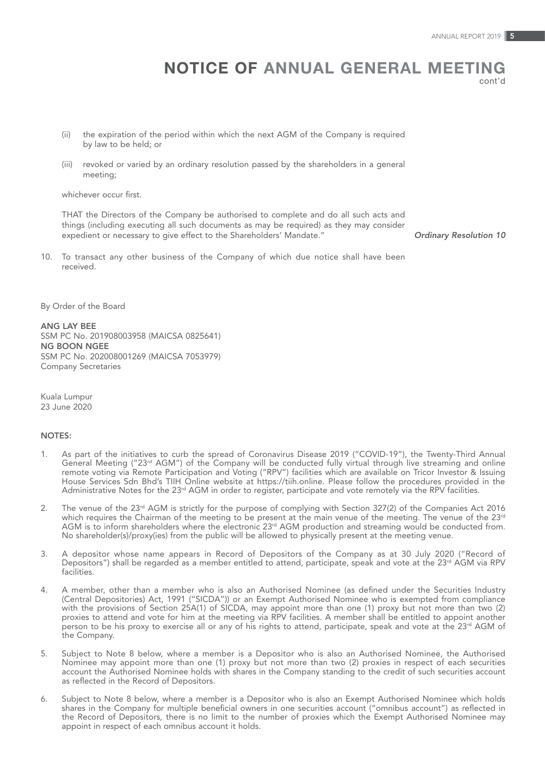# NOTICE OF ANNUAL GENERAL MEETING cont'd

(ii) the expiration of the period within which the next AGM of the Company is required by law to be held; or

(iii) revoked or varied by an ordinary resolution passed by the shareholders in a general meeting;

whichever occur first.

THAT the Directors of the Company be authorised to complete and do all such acts and things (including executing all such documents as may be required) as they may consider expedient or necessary to give effect to the Shareholders' Mandate." *Ordinary Resolution 10*

10. To transact any other business of the Company of which due notice shall have been received.

By Order of the Board

ANG LAY BEE SSM PC No. 201908003958 (MAICSA 0825641) NG BOON NGEE SSM PC No. 202008001269 (MAICSA 7053979) Company Secretaries

Kuala Lumpur 23 June 2020

## NOTES:

- 1. As part of the initiatives to curb the spread of Coronavirus Disease 2019 ("COVID-19"), the Twenty-Third Annual General Meeting ("23<sup>rd</sup> AGM") of the Company will be conducted fully virtual through live streaming and online<br>remote voting via Remote Participation and Voting ("RPV") facilities which are available on Tricor Investor & House Services Sdn Bhd's TIIH Online website at https://tiih.online. Please follow the procedures provided in the Administrative Notes for the 23<sup>rd</sup> AGM in order to register, participate and vote remotely via the RPV facilities.
- 2. The venue of the  $23^{rd}$  AGM is strictly for the purpose of complying with Section  $327(2)$  of the Companies Act 2016 which requires the Chairman of the meeting to be present at the main venue of the meeting. The venue of the 23<sup>rd</sup> AGM is to inform shareholders where the electronic 23<sup>rd</sup> AGM production and streaming would be conducted from. No shareholder(s)/proxy(ies) from the public will be allowed to physically present at the meeting venue.
- 3. A depositor whose name appears in Record of Depositors of the Company as at 30 July 2020 ("Record of Depositors") shall be regarded as a member entitled to attend, participate, speak and vote at the 23<sup>rd</sup> AGM via RPV facilities.
- 4. A member, other than a member who is also an Authorised Nominee (as defined under the Securities Industry (Central Depositories) Act, 1991 ("SICDA")) or an Exempt Authorised Nominee who is exempted from compliance with the provisions of Section 25A(1) of SICDA, may appoint more than one (1) proxy but not more than two (2) proxies to attend and vote for him at the meeting via RPV facilities. A member shall be entitled to appoint another person to be his proxy to exercise all or any of his rights to attend, participate, speak and vote at the 23<sup>rd</sup> AGM of the Company.
- 5. Subject to Note 8 below, where a member is a Depositor who is also an Authorised Nominee, the Authorised Nominee may appoint more than one (1) proxy but not more than two (2) proxies in respect of each securities account the Authorised Nominee holds with shares in the Company standing to the credit of such securities account as reflected in the Record of Depositors.
- 6. Subject to Note 8 below, where a member is a Depositor who is also an Exempt Authorised Nominee which holds shares in the Company for multiple beneficial owners in one securities account ("omnibus account") as reflected in the Record of Depositors, there is no limit to the number of proxies which the Exempt Authorised Nominee may appoint in respect of each omnibus account it holds.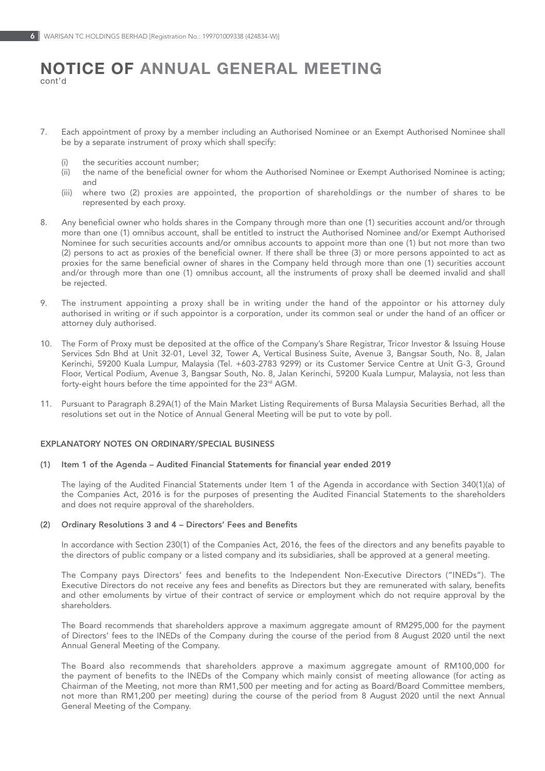# NOTICE OF ANNUAL GENERAL MEETING cont'd

- 7. Each appointment of proxy by a member including an Authorised Nominee or an Exempt Authorised Nominee shall be by a separate instrument of proxy which shall specify:
	- (i) the securities account number;
	- (ii) the name of the beneficial owner for whom the Authorised Nominee or Exempt Authorised Nominee is acting; and
	- (iii) where two (2) proxies are appointed, the proportion of shareholdings or the number of shares to be represented by each proxy.
- 8. Any beneficial owner who holds shares in the Company through more than one (1) securities account and/or through more than one (1) omnibus account, shall be entitled to instruct the Authorised Nominee and/or Exempt Authorised Nominee for such securities accounts and/or omnibus accounts to appoint more than one (1) but not more than two (2) persons to act as proxies of the beneficial owner. If there shall be three (3) or more persons appointed to act as proxies for the same beneficial owner of shares in the Company held through more than one (1) securities account and/or through more than one (1) omnibus account, all the instruments of proxy shall be deemed invalid and shall be rejected.
- 9. The instrument appointing a proxy shall be in writing under the hand of the appointor or his attorney duly authorised in writing or if such appointor is a corporation, under its common seal or under the hand of an officer or attorney duly authorised.
- 10. The Form of Proxy must be deposited at the office of the Company's Share Registrar, Tricor Investor & Issuing House Services Sdn Bhd at Unit 32-01, Level 32, Tower A, Vertical Business Suite, Avenue 3, Bangsar South, No. 8, Jalan Kerinchi, 59200 Kuala Lumpur, Malaysia (Tel. +603-2783 9299) or its Customer Service Centre at Unit G-3, Ground Floor, Vertical Podium, Avenue 3, Bangsar South, No. 8, Jalan Kerinchi, 59200 Kuala Lumpur, Malaysia, not less than forty-eight hours before the time appointed for the 23<sup>rd</sup> AGM.
- 11. Pursuant to Paragraph 8.29A(1) of the Main Market Listing Requirements of Bursa Malaysia Securities Berhad, all the resolutions set out in the Notice of Annual General Meeting will be put to vote by poll.

#### EXPLANATORY NOTES ON ORDINARY/SPECIAL BUSINESS

#### (1) Item 1 of the Agenda – Audited Financial Statements for financial year ended 2019

The laying of the Audited Financial Statements under Item 1 of the Agenda in accordance with Section 340(1)(a) of the Companies Act, 2016 is for the purposes of presenting the Audited Financial Statements to the shareholders and does not require approval of the shareholders.

### (2) Ordinary Resolutions 3 and 4 – Directors' Fees and Benefits

In accordance with Section 230(1) of the Companies Act, 2016, the fees of the directors and any benefits payable to the directors of public company or a listed company and its subsidiaries, shall be approved at a general meeting.

The Company pays Directors' fees and benefits to the Independent Non-Executive Directors ("INEDs"). The Executive Directors do not receive any fees and benefits as Directors but they are remunerated with salary, benefits and other emoluments by virtue of their contract of service or employment which do not require approval by the shareholders.

The Board recommends that shareholders approve a maximum aggregate amount of RM295,000 for the payment of Directors' fees to the INEDs of the Company during the course of the period from 8 August 2020 until the next Annual General Meeting of the Company.

The Board also recommends that shareholders approve a maximum aggregate amount of RM100,000 for the payment of benefits to the INEDs of the Company which mainly consist of meeting allowance (for acting as Chairman of the Meeting, not more than RM1,500 per meeting and for acting as Board/Board Committee members, not more than RM1,200 per meeting) during the course of the period from 8 August 2020 until the next Annual General Meeting of the Company.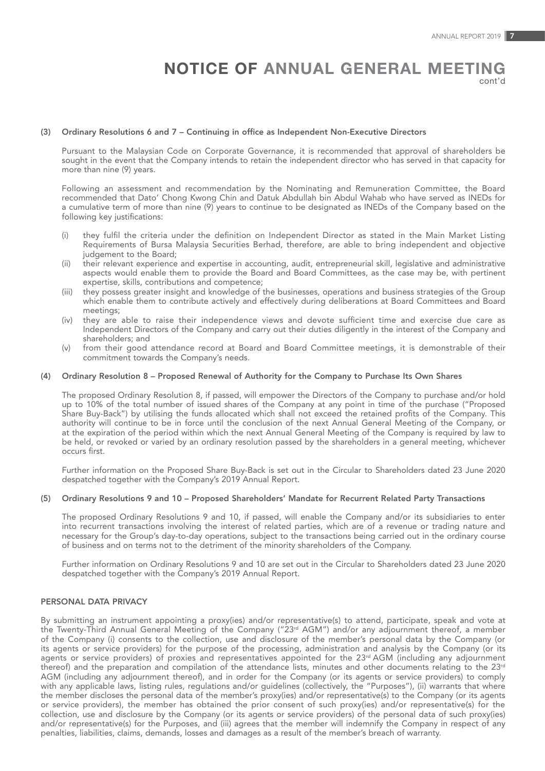# NOTICE OF ANNUAL GENERAL MEETING

cont'd

### (3) Ordinary Resolutions 6 and 7 – Continuing in office as Independent Non-Executive Directors

Pursuant to the Malaysian Code on Corporate Governance, it is recommended that approval of shareholders be sought in the event that the Company intends to retain the independent director who has served in that capacity for more than nine (9) years.

Following an assessment and recommendation by the Nominating and Remuneration Committee, the Board recommended that Dato' Chong Kwong Chin and Datuk Abdullah bin Abdul Wahab who have served as INEDs for a cumulative term of more than nine (9) years to continue to be designated as INEDs of the Company based on the following key justifications:

- (i) they fulfil the criteria under the definition on Independent Director as stated in the Main Market Listing Requirements of Bursa Malaysia Securities Berhad, therefore, are able to bring independent and objective judgement to the Board;
- (ii) their relevant experience and expertise in accounting, audit, entrepreneurial skill, legislative and administrative aspects would enable them to provide the Board and Board Committees, as the case may be, with pertinent expertise, skills, contributions and competence;
- (iii) they possess greater insight and knowledge of the businesses, operations and business strategies of the Group which enable them to contribute actively and effectively during deliberations at Board Committees and Board meetings;
- (iv) they are able to raise their independence views and devote sufficient time and exercise due care as Independent Directors of the Company and carry out their duties diligently in the interest of the Company and shareholders; and
- (v) from their good attendance record at Board and Board Committee meetings, it is demonstrable of their commitment towards the Company's needs.

#### (4) Ordinary Resolution 8 – Proposed Renewal of Authority for the Company to Purchase Its Own Shares

The proposed Ordinary Resolution 8, if passed, will empower the Directors of the Company to purchase and/or hold up to 10% of the total number of issued shares of the Company at any point in time of the purchase ("Proposed Share Buy-Back") by utilising the funds allocated which shall not exceed the retained profits of the Company. This authority will continue to be in force until the conclusion of the next Annual General Meeting of the Company, or at the expiration of the period within which the next Annual General Meeting of the Company is required by law to be held, or revoked or varied by an ordinary resolution passed by the shareholders in a general meeting, whichever occurs first.

Further information on the Proposed Share Buy-Back is set out in the Circular to Shareholders dated 23 June 2020 despatched together with the Company's 2019 Annual Report.

#### (5) Ordinary Resolutions 9 and 10 – Proposed Shareholders' Mandate for Recurrent Related Party Transactions

The proposed Ordinary Resolutions 9 and 10, if passed, will enable the Company and/or its subsidiaries to enter into recurrent transactions involving the interest of related parties, which are of a revenue or trading nature and necessary for the Group's day-to-day operations, subject to the transactions being carried out in the ordinary course of business and on terms not to the detriment of the minority shareholders of the Company.

Further information on Ordinary Resolutions 9 and 10 are set out in the Circular to Shareholders dated 23 June 2020 despatched together with the Company's 2019 Annual Report.

## PERSONAL DATA PRIVACY

By submitting an instrument appointing a proxy(ies) and/or representative(s) to attend, participate, speak and vote at the Twenty-Third Annual General Meeting of the Company ("23<sup>rd</sup> AGM") and/or any adjournment thereof, a member of the Company (i) consents to the collection, use and disclosure of the member's personal data by the Company (or its agents or service providers) for the purpose of the processing, administration and analysis by the Company (or its agents or service providers) of proxies and representatives appointed for the 23<sup>rd</sup> AGM (including any adjournment thereof) and the preparation and compilation of the attendance lists, minutes and other documents relating to the 23rd AGM (including any adjournment thereof), and in order for the Company (or its agents or service providers) to comply with any applicable laws, listing rules, regulations and/or guidelines (collectively, the "Purposes"), (ii) warrants that where the member discloses the personal data of the member's proxy(ies) and/or representative(s) to the Company (or its agents or service providers), the member has obtained the prior consent of such proxy(ies) and/or representative(s) for the collection, use and disclosure by the Company (or its agents or service providers) of the personal data of such proxy(ies) and/or representative(s) for the Purposes, and (iii) agrees that the member will indemnify the Company in respect of any penalties, liabilities, claims, demands, losses and damages as a result of the member's breach of warranty.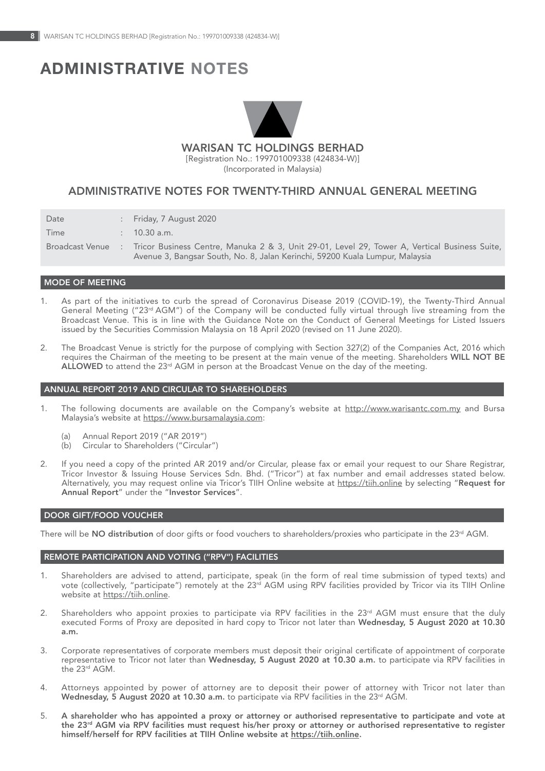# ADMINISTRATIVE nOTES



WARISAN TC HOLDINGS BERHAD

(424834-W) [Registration No.: 199701009338 (424834-W)] (Incorporated in Malaysia)

# ADMINISTRATIVE NOTES FOR TWENTY-THIRD ANNUAL GENERAL MEETING

| Date            | : Friday, 7 August 2020                                                                                                                                                       |
|-----------------|-------------------------------------------------------------------------------------------------------------------------------------------------------------------------------|
| Time            | $10.30$ a.m.                                                                                                                                                                  |
| Broadcast Venue | Tricor Business Centre, Manuka 2 & 3, Unit 29-01, Level 29, Tower A, Vertical Business Suite,<br>Avenue 3, Bangsar South, No. 8, Jalan Kerinchi, 59200 Kuala Lumpur, Malaysia |

## MODE OF MEETING

- 1. As part of the initiatives to curb the spread of Coronavirus Disease 2019 (COVID-19), the Twenty-Third Annual General Meeting ("23rd AGM") of the Company will be conducted fully virtual through live streaming from the Broadcast Venue. This is in line with the Guidance Note on the Conduct of General Meetings for Listed Issuers issued by the Securities Commission Malaysia on 18 April 2020 (revised on 11 June 2020).
- 2. The Broadcast Venue is strictly for the purpose of complying with Section 327(2) of the Companies Act, 2016 which requires the Chairman of the meeting to be present at the main venue of the meeting. Shareholders WILL NOT BE ALLOWED to attend the  $23<sup>rd</sup>$  AGM in person at the Broadcast Venue on the day of the meeting.

#### ANNUAL REPORT 2019 AND CIRCULAR TO SHAREHOLDERS

- 1. The following documents are available on the Company's website at http://www.warisantc.com.my and Bursa Malaysia's website at https://www.bursamalaysia.com:
	- (a) Annual Report 2019 ("AR 2019")
	- (b) Circular to Shareholders ("Circular")
- 2. If you need a copy of the printed AR 2019 and/or Circular, please fax or email your request to our Share Registrar, Tricor Investor & Issuing House Services Sdn. Bhd. ("Tricor") at fax number and email addresses stated below.<br>Alternatively, you may request online via Tricor's TIIH Online website at <u>https://tiih.online</u> by selecting "**R** Annual Report" under the "Investor Services".

#### DOOR GIFT/FOOD VOUCHER

There will be NO distribution of door gifts or food vouchers to shareholders/proxies who participate in the 23<sup>rd</sup> AGM.

## REMOTE PARTICIPATION AND VOTING ("RPV") FACILITIES

- 1. Shareholders are advised to attend, participate, speak (in the form of real time submission of typed texts) and vote (collectively, "participate") remotely at the 23<sup>rd</sup> AGM using RPV facilities provided by Tricor via its TIIH Online<br>website at <u>https://tiih.online</u>.
- 2. Shareholders who appoint proxies to participate via RPV facilities in the 23<sup>rd</sup> AGM must ensure that the duly executed Forms of Proxy are deposited in hard copy to Tricor not later than Wednesday, 5 August 2020 at 10.30 a.m.
- 3. Corporate representatives of corporate members must deposit their original certificate of appointment of corporate representative to Tricor not later than Wednesday, 5 August 2020 at 10.30 a.m. to participate via RPV facilities in the 23rd AGM.
- 4. Attorneys appointed by power of attorney are to deposit their power of attorney with Tricor not later than Wednesday, 5 August 2020 at 10.30 a.m. to participate via RPV facilities in the 23<sup>rd</sup> AGM.
- 5. A shareholder who has appointed a proxy or attorney or authorised representative to participate and vote at the 23<sup>,d</sup> AGM via RPV facilities must request his/her proxy or attorney or authorised representative to register<br>himself/herself for RPV facilities at TIIH Online website at <u>https://tiih.online</u>.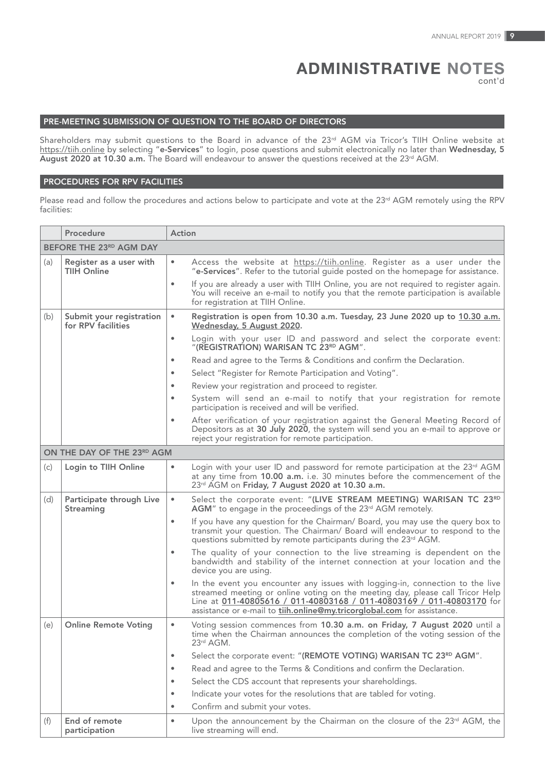# ADMINISTRATIVE nOTES

cont'd

# PRE-MEETING SUBMISSION OF QUESTION TO THE BOARD OF DIRECTORS

Shareholders may submit questions to the Board in advance of the 23<sup>rd</sup> AGM via Tricor's TIIH Online website at https://tiih.online by selecting "e-Services" to login, pose questions and submit electronically no later than Wednesday, 5 August 2020 at 10.30 a.m. The Board will endeavour to answer the questions received at the 23rd AGM.

## PROCEDURES FOR RPV FACILITIES

Please read and follow the procedures and actions below to participate and vote at the 23<sup>rd</sup> AGM remotely using the RPV facilities:

|     | Procedure                                      | Action                                                                                                                                                                                                                                                                                                                  |  |  |  |  |  |  |  |  |
|-----|------------------------------------------------|-------------------------------------------------------------------------------------------------------------------------------------------------------------------------------------------------------------------------------------------------------------------------------------------------------------------------|--|--|--|--|--|--|--|--|
|     | BEFORE THE 23RD AGM DAY                        |                                                                                                                                                                                                                                                                                                                         |  |  |  |  |  |  |  |  |
| (a) | Register as a user with<br>TIIH Online         | Access the website at https://tiih.online. Register as a user under the<br>۰<br>"e-Services". Refer to the tutorial quide posted on the homepage for assistance.                                                                                                                                                        |  |  |  |  |  |  |  |  |
|     |                                                | If you are already a user with TIIH Online, you are not required to register again.<br>٠<br>You will receive an e-mail to notify you that the remote participation is available<br>for registration at TIIH Online.                                                                                                     |  |  |  |  |  |  |  |  |
| (b) | Submit your registration<br>for RPV facilities | Registration is open from 10.30 a.m. Tuesday, 23 June 2020 up to 10.30 a.m.<br>$\bullet$<br>Wednesday, 5 August 2020.                                                                                                                                                                                                   |  |  |  |  |  |  |  |  |
|     |                                                | Login with your user ID and password and select the corporate event:<br>$\bullet$<br>"(REGISTRATION) WARISAN TC 23RD AGM".                                                                                                                                                                                              |  |  |  |  |  |  |  |  |
|     |                                                | Read and agree to the Terms & Conditions and confirm the Declaration.<br>$\bullet$                                                                                                                                                                                                                                      |  |  |  |  |  |  |  |  |
|     |                                                | Select "Register for Remote Participation and Voting".                                                                                                                                                                                                                                                                  |  |  |  |  |  |  |  |  |
|     |                                                | Review your registration and proceed to register.<br>٠                                                                                                                                                                                                                                                                  |  |  |  |  |  |  |  |  |
|     |                                                | System will send an e-mail to notify that your registration for remote<br>٠<br>participation is received and will be verified.                                                                                                                                                                                          |  |  |  |  |  |  |  |  |
|     |                                                | After verification of your registration against the General Meeting Record of<br>$\bullet$<br>Depositors as at 30 July 2020, the system will send you an e-mail to approve or<br>reject your registration for remote participation.                                                                                     |  |  |  |  |  |  |  |  |
|     | ON THE DAY OF THE 23RD AGM                     |                                                                                                                                                                                                                                                                                                                         |  |  |  |  |  |  |  |  |
| (c) | Login to TIIH Online                           | Login with your user ID and password for remote participation at the 23rd AGM<br>$\bullet$<br>at any time from 10.00 a.m. i.e. 30 minutes before the commencement of the<br>23rd AGM on Friday, 7 August 2020 at 10.30 a.m.                                                                                             |  |  |  |  |  |  |  |  |
| (d) | Participate through Live<br>Streaming          | Select the corporate event: "(LIVE STREAM MEETING) WARISAN TC 23RD<br>$\bullet$<br>AGM" to engage in the proceedings of the 23rd AGM remotely.                                                                                                                                                                          |  |  |  |  |  |  |  |  |
|     |                                                | If you have any question for the Chairman/Board, you may use the query box to<br>$\bullet$<br>transmit your question. The Chairman/ Board will endeavour to respond to the<br>questions submitted by remote participants during the 23 <sup>rd</sup> AGM.                                                               |  |  |  |  |  |  |  |  |
|     |                                                | The quality of your connection to the live streaming is dependent on the<br>$\bullet$<br>bandwidth and stability of the internet connection at your location and the<br>device you are using.                                                                                                                           |  |  |  |  |  |  |  |  |
|     |                                                | In the event you encounter any issues with logging-in, connection to the live<br>٠<br>streamed meeting or online voting on the meeting day, please call Tricor Help<br>Line at 011-40805616 / 011-40803168 / 011-40803169 / 011-40803170 for<br>assistance or e-mail to tiih.online@my.tricorglobal.com for assistance. |  |  |  |  |  |  |  |  |
| (e) | <b>Online Remote Voting</b>                    | Voting session commences from 10.30 a.m. on Friday, 7 August 2020 until a<br>۰<br>time when the Chairman announces the completion of the voting session of the<br>23rd AGM.                                                                                                                                             |  |  |  |  |  |  |  |  |
|     |                                                | Select the corporate event: "(REMOTE VOTING) WARISAN TC 23RD AGM".<br>$\bullet$                                                                                                                                                                                                                                         |  |  |  |  |  |  |  |  |
|     |                                                | Read and agree to the Terms & Conditions and confirm the Declaration.<br>٠                                                                                                                                                                                                                                              |  |  |  |  |  |  |  |  |
|     |                                                | Select the CDS account that represents your shareholdings.<br>$\bullet$                                                                                                                                                                                                                                                 |  |  |  |  |  |  |  |  |
|     |                                                | Indicate your votes for the resolutions that are tabled for voting.<br>$\bullet$                                                                                                                                                                                                                                        |  |  |  |  |  |  |  |  |
|     |                                                | Confirm and submit your votes.<br>٠                                                                                                                                                                                                                                                                                     |  |  |  |  |  |  |  |  |
| (f) | End of remote<br>participation                 | Upon the announcement by the Chairman on the closure of the 23rd AGM, the<br>$\bullet$<br>live streaming will end.                                                                                                                                                                                                      |  |  |  |  |  |  |  |  |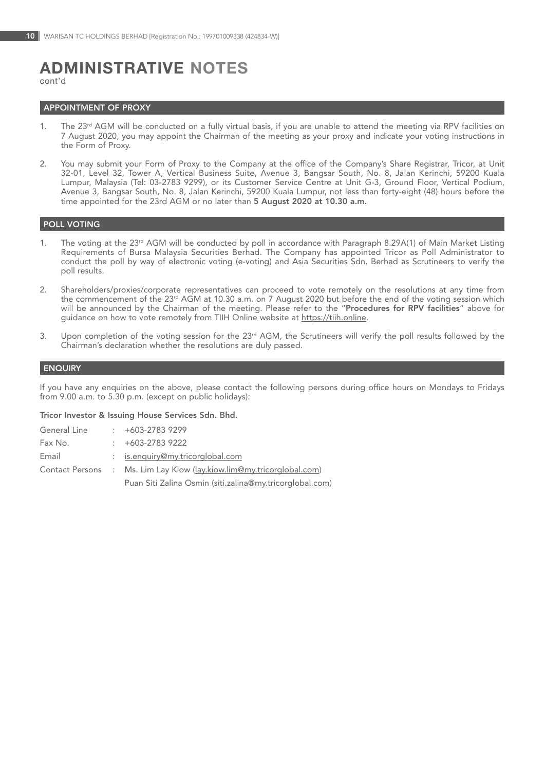# ADMINISTRATIVE nOTES

cont'd

### **APPOINTMENT OF PROXY**

- 1. The 23<sup>rd</sup> AGM will be conducted on a fully virtual basis, if you are unable to attend the meeting via RPV facilities on 7 August 2020, you may appoint the Chairman of the meeting as your proxy and indicate your voting instructions in the Form of Proxy.
- 2. You may submit your Form of Proxy to the Company at the office of the Company's Share Registrar, Tricor, at Unit 32-01, Level 32, Tower A, Vertical Business Suite, Avenue 3, Bangsar South, No. 8, Jalan Kerinchi, 59200 Kuala Lumpur, Malaysia (Tel: 03-2783 9299), or its Customer Service Centre at Unit G-3, Ground Floor, Vertical Podium, Avenue 3, Bangsar South, No. 8, Jalan Kerinchi, 59200 Kuala Lumpur, not less than forty-eight (48) hours before the time appointed for the 23rd AGM or no later than 5 August 2020 at 10.30 a.m.

# POLL VOTING

- 1. The voting at the 23<sup>rd</sup> AGM will be conducted by poll in accordance with Paragraph 8.29A(1) of Main Market Listing Requirements of Bursa Malaysia Securities Berhad. The Company has appointed Tricor as Poll Administrator to<br>conduct the poll by way of electronic voting (e-voting) and Asia Securities Sdn. Berhad as Scrutineers to verify t poll results.
- 2. Shareholders/proxies/corporate representatives can proceed to vote remotely on the resolutions at any time from the commencement of the 23<sup>rd</sup> AGM at 10.30 a.m. on 7 August 2020 but before the end of the voting session which<br>will be announced by the Chairman of the meeting. Please refer to the "**Procedures for RPV facilities**" above guidance on how to vote remotely from TIIH Online website at https://tiih.online.
- 3. Upon completion of the voting session for the 23<sup>rd</sup> AGM, the Scrutineers will verify the poll results followed by the Chairman's declaration whether the resolutions are duly passed.

### **ENQUIRY**

If you have any enquiries on the above, please contact the following persons during office hours on Mondays to Fridays from 9.00 a.m. to 5.30 p.m. (except on public holidays):

#### Tricor Investor & Issuing House Services Sdn. Bhd.

| General Line | $+603-27839299$                                                       |
|--------------|-----------------------------------------------------------------------|
| Fax No.      | $\div$ +603-2783 9222                                                 |
| Email        | : is.enguiry@my.tricorglobal.com                                      |
|              | Contact Persons : Ms. Lim Lay Kiow (lay.kiow.lim@my.tricorglobal.com) |
|              | Puan Siti Zalina Osmin (siti zalina@my tricorplobal com)              |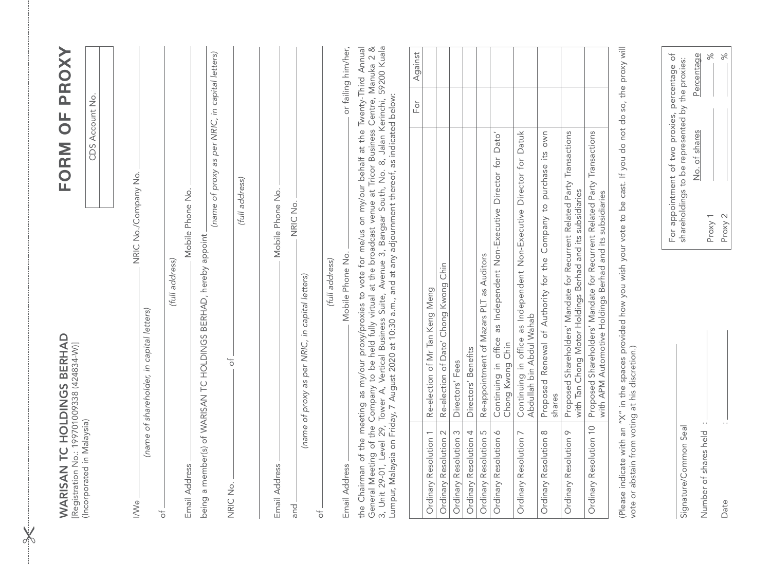| WARISAN TC HOLDINGS BERHAD<br>Registration No.: 199701009338 (424834-W)] |                                                                                                                                                                                                                                                                                                                                                        | FORM OF PROXY                                                                                    |
|--------------------------------------------------------------------------|--------------------------------------------------------------------------------------------------------------------------------------------------------------------------------------------------------------------------------------------------------------------------------------------------------------------------------------------------------|--------------------------------------------------------------------------------------------------|
| (Incorporated in Malaysia)                                               |                                                                                                                                                                                                                                                                                                                                                        | CDS Account No.                                                                                  |
| <b>I/Ve</b>                                                              | NRIC No./Company No.                                                                                                                                                                                                                                                                                                                                   |                                                                                                  |
| (name<br>$\uparrow$                                                      | of shareholder, in capital letters)                                                                                                                                                                                                                                                                                                                    |                                                                                                  |
| Email Address                                                            | Mobile Phone No.<br>(full address)                                                                                                                                                                                                                                                                                                                     |                                                                                                  |
|                                                                          | being a member(s) of WARISAN TC HOLDINGS BERHAD, hereby appoint                                                                                                                                                                                                                                                                                        | (name of proxy as per NRIC, in capital letters)                                                  |
| NRIC No.                                                                 | $\frac{1}{\sqrt{2}}$                                                                                                                                                                                                                                                                                                                                   |                                                                                                  |
|                                                                          |                                                                                                                                                                                                                                                                                                                                                        | (full address)                                                                                   |
| Email Address                                                            | Mobile Phone No.                                                                                                                                                                                                                                                                                                                                       |                                                                                                  |
| and                                                                      | NRIC No.                                                                                                                                                                                                                                                                                                                                               |                                                                                                  |
| $\overline{\sigma}$                                                      | (name of proxy as per NRIC, in capital letters)                                                                                                                                                                                                                                                                                                        |                                                                                                  |
|                                                                          | (full address)                                                                                                                                                                                                                                                                                                                                         |                                                                                                  |
| Email Address                                                            | Mobile Phone No.                                                                                                                                                                                                                                                                                                                                       | or failing him/her,                                                                              |
|                                                                          | General Meeting of the Company to be held fully virtual at the broadcast venue at Tricor Business Centré, Manuka 2 &<br>3, Unit 29-01, Level 29, Tower A, Vertical Business Suite, Avenue 3, Bangsar South, No. 8, Jalan Kerinchi<br>the Chairman of the meeting as my/our proxy/proxies to vote for me/us on my/our behalf at the Twenty-Third Annual |                                                                                                  |
|                                                                          |                                                                                                                                                                                                                                                                                                                                                        | Against<br>For                                                                                   |
| Ordinary Resolution 1                                                    | Re-election of Mr Tan Keng Meng                                                                                                                                                                                                                                                                                                                        |                                                                                                  |
| Ordinary Resolution 2<br>Ordinary Resolution 3                           | Re-election of Dato' Chong Kwong Chin<br>Directors' Fees                                                                                                                                                                                                                                                                                               |                                                                                                  |
| Ordinary Resolution 4                                                    | Directors' Benefits                                                                                                                                                                                                                                                                                                                                    |                                                                                                  |
| Ordinary Resolution 5                                                    | Re-appointment of Mazars PLT as Auditors                                                                                                                                                                                                                                                                                                               |                                                                                                  |
| Ordinary Resolution 6                                                    | Continuing in office as Independent Non-Executive Director for Dato<br>Chong Kwong Chin                                                                                                                                                                                                                                                                |                                                                                                  |
| Ordinary Resolution 7                                                    | Continuing in office as Independent Non-Executive Director for Datuk<br>Abdullah bin Abdul Wahab                                                                                                                                                                                                                                                       |                                                                                                  |
| $\infty$<br>Ordinary Resolution                                          | Proposed Renewal of Authority for the Company to purchase its own<br>shares                                                                                                                                                                                                                                                                            |                                                                                                  |
| $\circ$<br>Ordinary Resolution                                           | Proposed Shareholders' Mandate for Recurrent Related Party Transactions<br>with Tan Chong Motor Holdings Berhad and its subsidiaries                                                                                                                                                                                                                   |                                                                                                  |
| Ordinary Resolution 10                                                   | Proposed Shareholders' Mandate for Recurrent Related Party Transactions<br>with APM Automotive Holdings Berhad and its subsidiaries                                                                                                                                                                                                                    |                                                                                                  |
|                                                                          | (Please indicate with an "X" in the spaces provided how you wish your vote to be cast. If you do not do so, the proxy will<br>vote or abstain from voting at his discretion.)                                                                                                                                                                          |                                                                                                  |
|                                                                          |                                                                                                                                                                                                                                                                                                                                                        |                                                                                                  |
| Signature/Common Seal                                                    |                                                                                                                                                                                                                                                                                                                                                        | For appointment of two proxies, percentage of<br>shareholdings to be represented by the proxies: |
| Number of shares held                                                    |                                                                                                                                                                                                                                                                                                                                                        | Percentage<br>$\approx$<br>of shares<br>δ.                                                       |
| Date                                                                     | Proxy 2<br>Proxy 1                                                                                                                                                                                                                                                                                                                                     | $\frac{8}{3}$                                                                                    |

 $\chi$